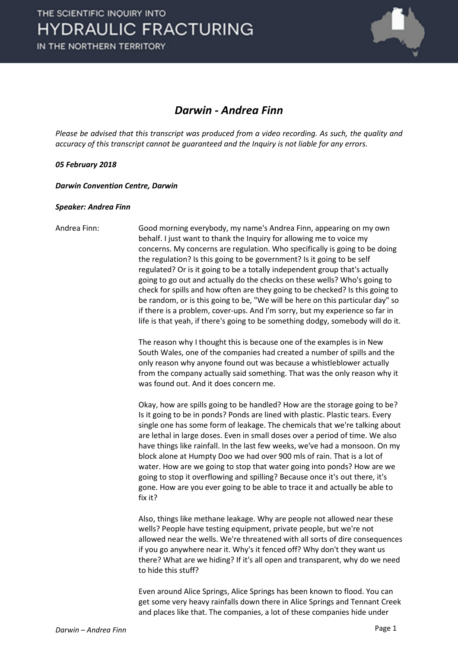

## *Darwin - Andrea Finn*

*Please be advised that this transcript was produced from a video recording. As such, the quality and accuracy of this transcript cannot be guaranteed and the Inquiry is not liable for any errors.*

## *05 February 2018*

*Darwin Convention Centre, Darwin* 

## *Speaker: Andrea Finn*

Andrea Finn: Good morning everybody, my name's Andrea Finn, appearing on my own behalf. I just want to thank the Inquiry for allowing me to voice my concerns. My concerns are regulation. Who specifically is going to be doing the regulation? Is this going to be government? Is it going to be self regulated? Or is it going to be a totally independent group that's actually going to go out and actually do the checks on these wells? Who's going to check for spills and how often are they going to be checked? Is this going to be random, or is this going to be, "We will be here on this particular day" so if there is a problem, cover-ups. And I'm sorry, but my experience so far in life is that yeah, if there's going to be something dodgy, somebody will do it.

> The reason why I thought this is because one of the examples is in New South Wales, one of the companies had created a number of spills and the only reason why anyone found out was because a whistleblower actually from the company actually said something. That was the only reason why it was found out. And it does concern me.

> Okay, how are spills going to be handled? How are the storage going to be? Is it going to be in ponds? Ponds are lined with plastic. Plastic tears. Every single one has some form of leakage. The chemicals that we're talking about are lethal in large doses. Even in small doses over a period of time. We also have things like rainfall. In the last few weeks, we've had a monsoon. On my block alone at Humpty Doo we had over 900 mls of rain. That is a lot of water. How are we going to stop that water going into ponds? How are we going to stop it overflowing and spilling? Because once it's out there, it's gone. How are you ever going to be able to trace it and actually be able to fix it?

> Also, things like methane leakage. Why are people not allowed near these wells? People have testing equipment, private people, but we're not allowed near the wells. We're threatened with all sorts of dire consequences if you go anywhere near it. Why's it fenced off? Why don't they want us there? What are we hiding? If it's all open and transparent, why do we need to hide this stuff?

> Even around Alice Springs, Alice Springs has been known to flood. You can get some very heavy rainfalls down there in Alice Springs and Tennant Creek and places like that. The companies, a lot of these companies hide under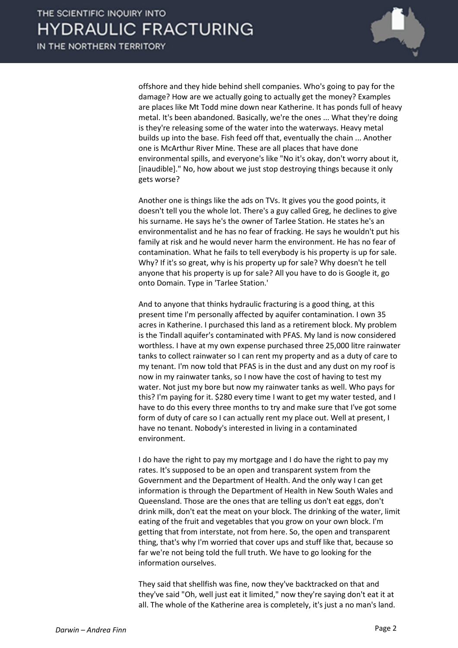

offshore and they hide behind shell companies. Who's going to pay for the damage? How are we actually going to actually get the money? Examples are places like Mt Todd mine down near Katherine. It has ponds full of heavy metal. It's been abandoned. Basically, we're the ones ... What they're doing is they're releasing some of the water into the waterways. Heavy metal builds up into the base. Fish feed off that, eventually the chain ... Another one is McArthur River Mine. These are all places that have done environmental spills, and everyone's like "No it's okay, don't worry about it, [inaudible]." No, how about we just stop destroying things because it only gets worse?

Another one is things like the ads on TVs. It gives you the good points, it doesn't tell you the whole lot. There's a guy called Greg, he declines to give his surname. He says he's the owner of Tarlee Station. He states he's an environmentalist and he has no fear of fracking. He says he wouldn't put his family at risk and he would never harm the environment. He has no fear of contamination. What he fails to tell everybody is his property is up for sale. Why? If it's so great, why is his property up for sale? Why doesn't he tell anyone that his property is up for sale? All you have to do is Google it, go onto Domain. Type in 'Tarlee Station.'

And to anyone that thinks hydraulic fracturing is a good thing, at this present time I'm personally affected by aquifer contamination. I own 35 acres in Katherine. I purchased this land as a retirement block. My problem is the Tindall aquifer's contaminated with PFAS. My land is now considered worthless. I have at my own expense purchased three 25,000 litre rainwater tanks to collect rainwater so I can rent my property and as a duty of care to my tenant. I'm now told that PFAS is in the dust and any dust on my roof is now in my rainwater tanks, so I now have the cost of having to test my water. Not just my bore but now my rainwater tanks as well. Who pays for this? I'm paying for it. \$280 every time I want to get my water tested, and I have to do this every three months to try and make sure that I've got some form of duty of care so I can actually rent my place out. Well at present, I have no tenant. Nobody's interested in living in a contaminated environment.

I do have the right to pay my mortgage and I do have the right to pay my rates. It's supposed to be an open and transparent system from the Government and the Department of Health. And the only way I can get information is through the Department of Health in New South Wales and Queensland. Those are the ones that are telling us don't eat eggs, don't drink milk, don't eat the meat on your block. The drinking of the water, limit eating of the fruit and vegetables that you grow on your own block. I'm getting that from interstate, not from here. So, the open and transparent thing, that's why I'm worried that cover ups and stuff like that, because so far we're not being told the full truth. We have to go looking for the information ourselves.

They said that shellfish was fine, now they've backtracked on that and they've said "Oh, well just eat it limited," now they're saying don't eat it at all. The whole of the Katherine area is completely, it's just a no man's land.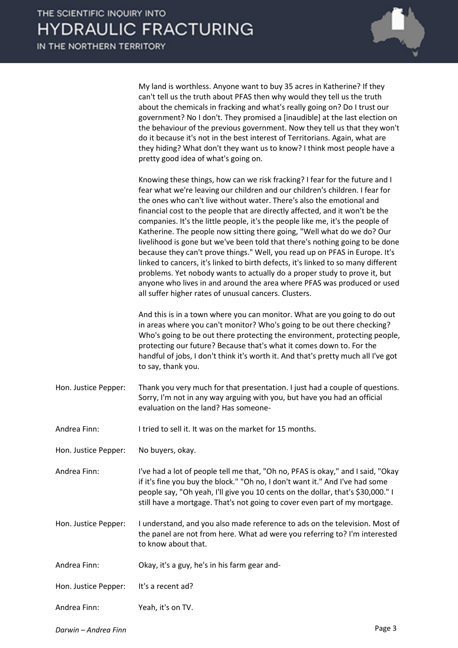

My land is worthless. Anyone want to buy 35 acres in Katherine? If they can't tell us the truth about PFAS then why would they tell us the truth about the chemicals in fracking and what's really going on? Do I trust our government? No I don't. They promised a [inaudible] at the last election on the behaviour of the previous government. Now they tell us that they won't do it because it's not in the best interest of Territorians. Again, what are they hiding? What don't they want us to know? I think most people have a pretty good idea of what's going on.

Knowing these things, how can we risk fracking? I fear for the future and I fear what we're leaving our children and our children's children. I fear for the ones who can't live without water. There's also the emotional and financial cost to the people that are directly affected, and it won't be the companies. It's the little people, it's the people like me, it's the people of Katherine. The people now sitting there going, "Well what do we do? Our livelihood is gone but we've been told that there's nothing going to be done because they can't prove things." Well, you read up on PFAS in Europe. It's linked to cancers, it's linked to birth defects, it's linked to so many different problems. Yet nobody wants to actually do a proper study to prove it, but anyone who lives in and around the area where PFAS was produced or used all suffer higher rates of unusual cancers. Clusters.

And this is in a town where you can monitor. What are you going to do out in areas where you can't monitor? Who's going to be out there checking? Who's going to be out there protecting the environment, protecting people, protecting our future? Because that's what it comes down to. For the handful of jobs, I don't think it's worth it. And that's pretty much all I've got to say, thank you.

Hon. Justice Pepper: Thank you very much for that presentation. I just had a couple of questions. Sorry, I'm not in any way arguing with you, but have you had an official evaluation on the land? Has someone-

Andrea Finn: I tried to sell it. It was on the market for 15 months.

Hon. Justice Pepper: No buyers, okay.

- Andrea Finn: I've had a lot of people tell me that, "Oh no, PFAS is okay," and I said, "Okay if it's fine you buy the block." "Oh no, I don't want it." And I've had some people say, "Oh yeah, I'll give you 10 cents on the dollar, that's \$30,000." I still have a mortgage. That's not going to cover even part of my mortgage.
- Hon. Justice Pepper: I understand, and you also made reference to ads on the television. Most of the panel are not from here. What ad were you referring to? I'm interested to know about that.

Andrea Finn: Okay, it's a guy, he's in his farm gear and-

Hon. Justice Pepper: It's a recent ad?

Andrea Finn: Yeah, it's on TV.